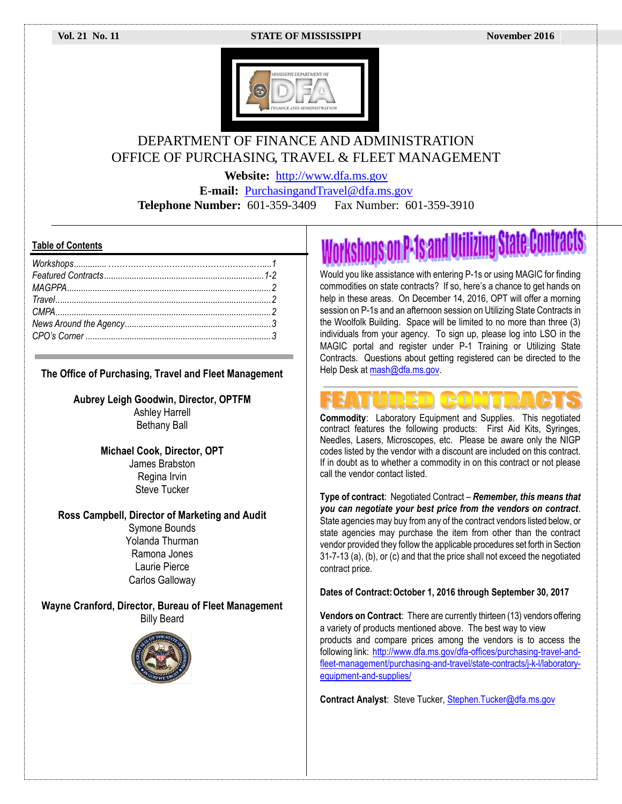

## DEPARTMENT OF FINANCE AND ADMINISTRATION OFFICE OF PURCHASING, TRAVEL & FLEET MANAGEMENT

**Website:** [http://www.dfa.ms.gov](http://www.dfa.ms.gov/)

**E-mail:** [PurchasingandTravel@dfa.ms.gov](mailto:PurchasingandTravel@dfa.ms.gov) **Telephone Number:** 601-359-3409 Fax Number: 601-359-3910

#### **Table of Contents**

#### **The Office of Purchasing, Travel and Fleet Management**

**Aubrey Leigh Goodwin, Director, OPTFM** Ashley Harrell Bethany Ball

> **Michael Cook, Director, OPT** James Brabston Regina Irvin Steve Tucker

#### **Ross Campbell, Director of Marketing and Audit**

Symone Bounds Yolanda Thurman Ramona Jones Laurie Pierce Carlos Galloway

**Wayne Cranford, Director, Bureau of Fleet Management** Billy Beard



# prkshops on P-1s and Utilizing State Contracts

Would you like assistance with entering P-1s or using MAGIC for finding commodities on state contracts? If so, here's a chance to get hands on help in these areas. On December 14, 2016, OPT will offer a morning session on P-1s and an afternoon session on Utilizing State Contracts in the Woolfolk Building. Space will be limited to no more than three (3) individuals from your agency. To sign up, please log into LSO in the MAGIC portal and register under P-1 Training or Utilizing State Contracts. Questions about getting registered can be directed to the Help Desk at mash@dfa.ms.gov.

**Commodity**: Laboratory Equipment and Supplies. This negotiated contract features the following products: First Aid Kits, Syringes, Needles, Lasers, Microscopes, etc. Please be aware only the NIGP codes listed by the vendor with a discount are included on this contract. If in doubt as to whether a commodity in on this contract or not please call the vendor contact listed.

**Type of contract**: Negotiated Contract – *Remember, this means that you can negotiate your best price from the vendors on contract*. State agencies may buy from any of the contract vendors listed below, or state agencies may purchase the item from other than the contract vendor provided they follow the applicable procedures set forth in Section 31-7-13 (a), (b), or (c) and that the price shall not exceed the negotiated contract price.

#### **Dates of Contract:October 1, 2016 through September 30, 2017**

**Vendors on Contract**: There are currently thirteen (13) vendors offering a variety of products mentioned above. The best way to view products and compare prices among the vendors is to access the following link: [http://www.dfa.ms.gov/dfa-offices/purchasing-travel-and](http://www.dfa.ms.gov/dfa-offices/purchasing-travel-and-fleet-management/purchasing-and-travel/state-contracts/j-k-l/laboratory-equipment-and-supplies/)[fleet-management/purchasing-and-travel/state-contracts/j-k-l/laboratory](http://www.dfa.ms.gov/dfa-offices/purchasing-travel-and-fleet-management/purchasing-and-travel/state-contracts/j-k-l/laboratory-equipment-and-supplies/)[equipment-and-supplies/](http://www.dfa.ms.gov/dfa-offices/purchasing-travel-and-fleet-management/purchasing-and-travel/state-contracts/j-k-l/laboratory-equipment-and-supplies/)

**Contract Analyst**: Steve Tucker[, Stephen.Tucker@dfa.ms.gov](mailto:Stephen.Tucker@dfa.ms.gov)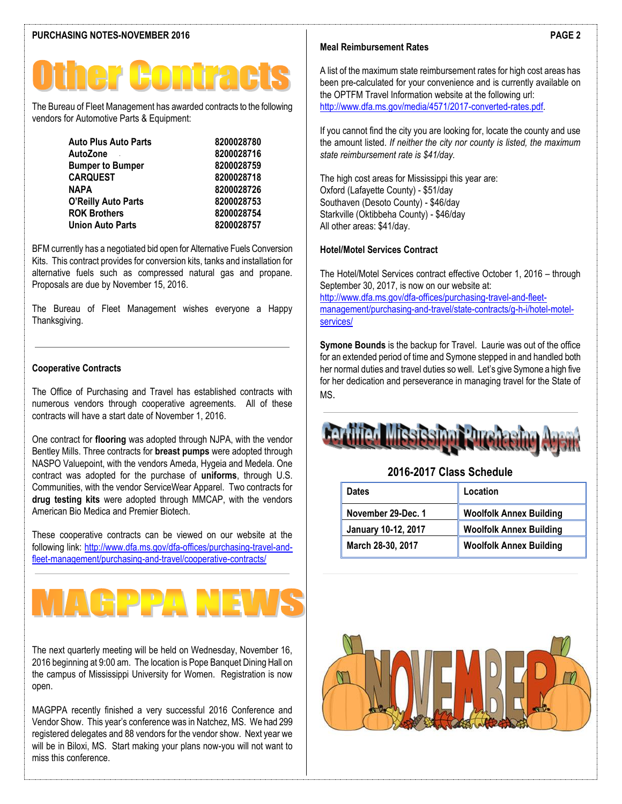The Bureau of Fleet Management has awarded contracts to the following vendors for Automotive Parts & Equipment:

| <b>Auto Plus Auto Parts</b> | 8200028780 |
|-----------------------------|------------|
| AutoZone                    | 8200028716 |
| <b>Bumper to Bumper</b>     | 8200028759 |
| <b>CARQUEST</b>             | 8200028718 |
| <b>NAPA</b>                 | 8200028726 |
| <b>O'Reilly Auto Parts</b>  | 8200028753 |
| <b>ROK Brothers</b>         | 8200028754 |
| <b>Union Auto Parts</b>     | 8200028757 |

BFM currently has a negotiated bid open for Alternative Fuels Conversion Kits. This contract provides for conversion kits, tanks and installation for alternative fuels such as compressed natural gas and propane. Proposals are due by November 15, 2016.

The Bureau of Fleet Management wishes everyone a Happy Thanksgiving.

#### **Cooperative Contracts**

The Office of Purchasing and Travel has established contracts with numerous vendors through cooperative agreements. All of these contracts will have a start date of November 1, 2016.

One contract for **flooring** was adopted through NJPA, with the vendor Bentley Mills. Three contracts for **breast pumps** were adopted through NASPO Valuepoint, with the vendors Ameda, Hygeia and Medela. One contract was adopted for the purchase of **uniforms**, through U.S. Communities, with the vendor ServiceWear Apparel. Two contracts for **drug testing kits** were adopted through MMCAP, with the vendors American Bio Medica and Premier Biotech.

These cooperative contracts can be viewed on our website at the following link: [http://www.dfa.ms.gov/dfa-offices/purchasing-travel-and](http://www.dfa.ms.gov/dfa-offices/purchasing-travel-and-fleet-management/purchasing-and-travel/cooperative-contracts/)[fleet-management/purchasing-and-travel/cooperative-contracts/](http://www.dfa.ms.gov/dfa-offices/purchasing-travel-and-fleet-management/purchasing-and-travel/cooperative-contracts/)

# **RDD.**

The next quarterly meeting will be held on Wednesday, November 16, 2016 beginning at 9:00 am. The location is Pope Banquet Dining Hall on the campus of Mississippi University for Women. Registration is now open.

MAGPPA recently finished a very successful 2016 Conference and Vendor Show. This year's conference was in Natchez, MS. We had 299 registered delegates and 88 vendors for the vendor show. Next year we will be in Biloxi, MS. Start making your plans now-you will not want to miss this conference.

### **Meal Reimbursement Rates**

A list of the maximum state reimbursement rates for high cost areas has been pre-calculated for your convenience and is currently available on the OPTFM Travel Information website at the following url: [http://www.dfa.ms.gov/media/4571/2017-converted-rates.pdf.](http://www.dfa.ms.gov/media/4571/2017-converted-rates.pdf)

If you cannot find the city you are looking for, locate the county and use the amount listed. *If neither the city nor county is listed, the maximum state reimbursement rate is \$41/day.* 

The high cost areas for Mississippi this year are: Oxford (Lafayette County) - \$51/day Southaven (Desoto County) - \$46/day Starkville (Oktibbeha County) - \$46/day All other areas: \$41/day.

#### **Hotel/Motel Services Contract**

The Hotel/Motel Services contract effective October 1, 2016 – through September 30, 2017, is now on our website at: [http://www.dfa.ms.gov/dfa-offices/purchasing-travel-and-fleet](http://www.dfa.ms.gov/dfa-offices/purchasing-travel-and-fleet-management/purchasing-and-travel/state-contracts/g-h-i/hotel-motel-services/)[management/purchasing-and-travel/state-contracts/g-h-i/hotel-motel](http://www.dfa.ms.gov/dfa-offices/purchasing-travel-and-fleet-management/purchasing-and-travel/state-contracts/g-h-i/hotel-motel-services/)[services/](http://www.dfa.ms.gov/dfa-offices/purchasing-travel-and-fleet-management/purchasing-and-travel/state-contracts/g-h-i/hotel-motel-services/)

**Symone Bounds** is the backup for Travel. Laurie was out of the office for an extended period of time and Symone stepped in and handled both her normal duties and travel duties so well. Let's give Symone a high five for her dedication and perseverance in managing travel for the State of MS.

#### **2016-2017 Class Schedule**

| <b>Dates</b>        | Location                       |
|---------------------|--------------------------------|
| November 29-Dec. 1  | <b>Woolfolk Annex Building</b> |
| January 10-12, 2017 | <b>Woolfolk Annex Building</b> |
| March 28-30, 2017   | <b>Woolfolk Annex Building</b> |